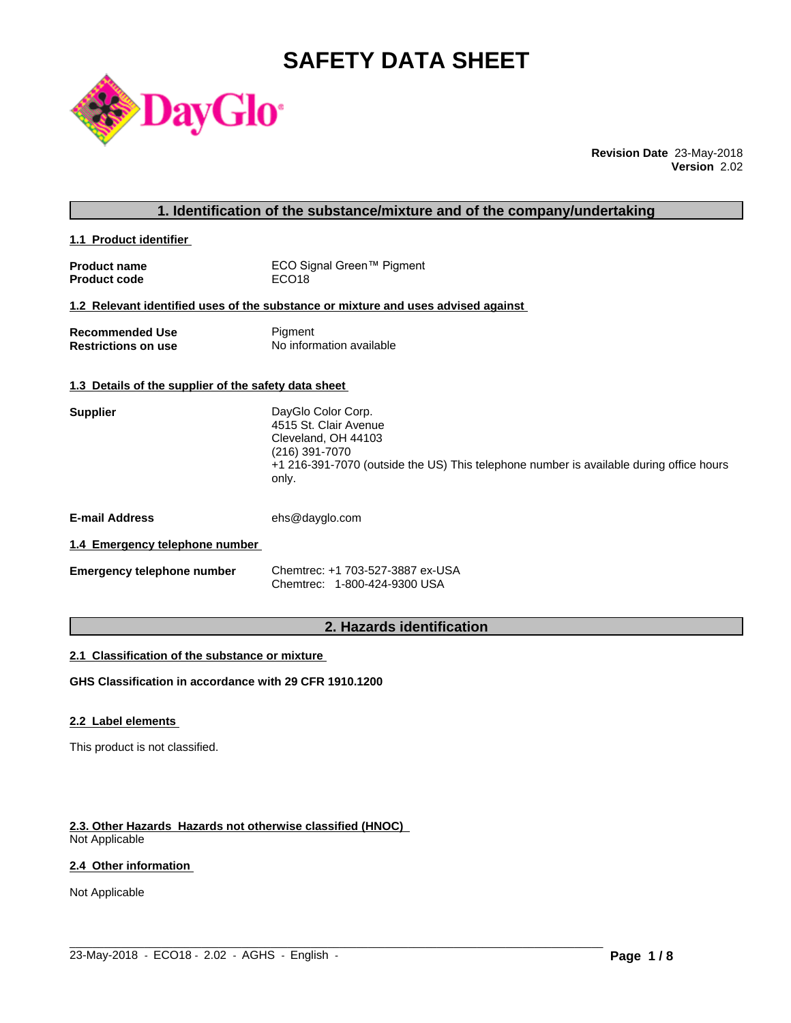# **SAFETY DATA SHEET**

**1. Identification of the substance/mixture and of the company/undertaking**



**Revision Date** 23-May-2018 **Version** 2.02

| 1.1 Product identifier                               |                                                                                                                                                                                          |
|------------------------------------------------------|------------------------------------------------------------------------------------------------------------------------------------------------------------------------------------------|
| <b>Product name</b><br>Product code                  | ECO Signal Green™ Pigment<br>ECO <sub>18</sub>                                                                                                                                           |
|                                                      | 1.2 Relevant identified uses of the substance or mixture and uses advised against                                                                                                        |
| <b>Recommended Use</b><br>Restrictions on use        | Pigment<br>No information available                                                                                                                                                      |
| 1.3 Details of the supplier of the safety data sheet |                                                                                                                                                                                          |
| Supplier                                             | DayGlo Color Corp.<br>4515 St. Clair Avenue<br>Cleveland, OH 44103<br>(216) 391-7070<br>+1 216-391-7070 (outside the US) This telephone number is available during office hours<br>only. |
|                                                      |                                                                                                                                                                                          |

**E-mail Address** ehs@dayglo.com

# **1.4 Emergency telephone number**

| <b>Emergency telephone number</b> | Chemtrec: +1 703-527-3887 ex-USA |
|-----------------------------------|----------------------------------|
|                                   | Chemtrec: 1-800-424-9300 USA     |

# **2. Hazards identification**

 $\_$  ,  $\_$  ,  $\_$  ,  $\_$  ,  $\_$  ,  $\_$  ,  $\_$  ,  $\_$  ,  $\_$  ,  $\_$  ,  $\_$  ,  $\_$  ,  $\_$  ,  $\_$  ,  $\_$  ,  $\_$  ,  $\_$  ,  $\_$  ,  $\_$  ,  $\_$  ,  $\_$  ,  $\_$  ,  $\_$  ,  $\_$  ,  $\_$  ,  $\_$  ,  $\_$  ,  $\_$  ,  $\_$  ,  $\_$  ,  $\_$  ,  $\_$  ,  $\_$  ,  $\_$  ,  $\_$  ,  $\_$  ,  $\_$  ,

#### **2.1 Classification of the substance or mixture**

**GHS Classification in accordance with 29 CFR 1910.1200**

# **2.2 Label elements**

This product is not classified.

# **2.3. Other Hazards Hazards not otherwise classified (HNOC)**

Not Applicable

# **2.4 Other information**

Not Applicable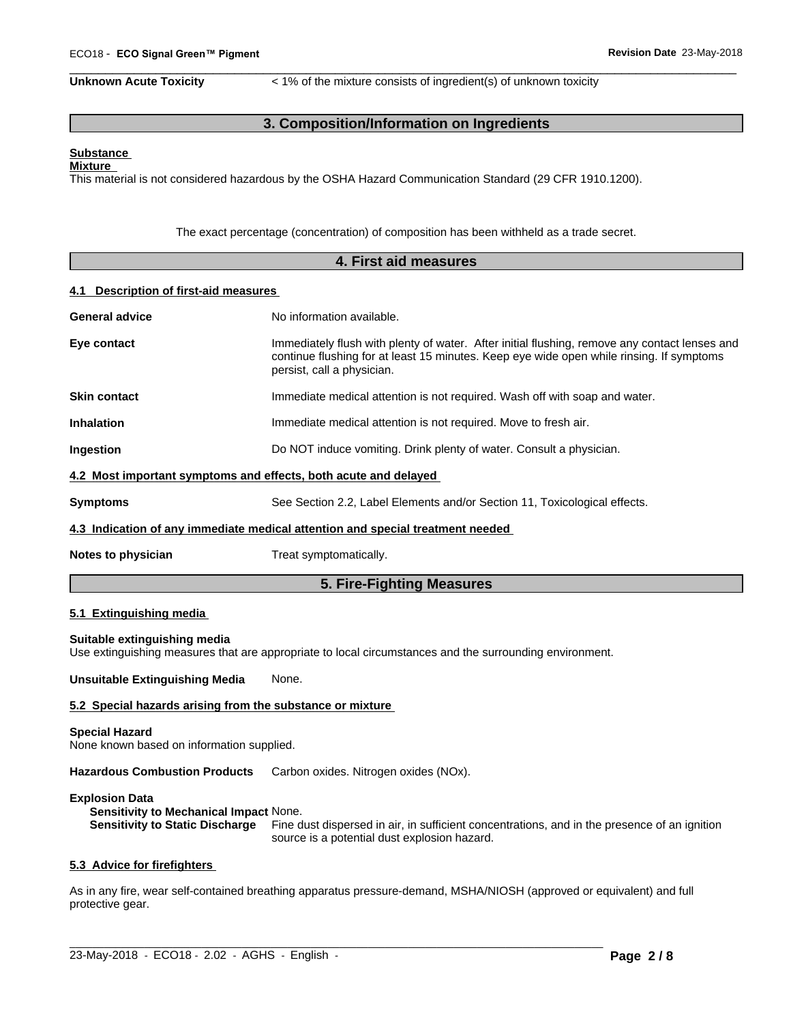**Unknown Acute Toxicity**  $\lt$  1% of the mixture consists of ingredient(s) of unknown toxicity

 $\overline{\phantom{a}}$  ,  $\overline{\phantom{a}}$  ,  $\overline{\phantom{a}}$  ,  $\overline{\phantom{a}}$  ,  $\overline{\phantom{a}}$  ,  $\overline{\phantom{a}}$  ,  $\overline{\phantom{a}}$  ,  $\overline{\phantom{a}}$  ,  $\overline{\phantom{a}}$  ,  $\overline{\phantom{a}}$  ,  $\overline{\phantom{a}}$  ,  $\overline{\phantom{a}}$  ,  $\overline{\phantom{a}}$  ,  $\overline{\phantom{a}}$  ,  $\overline{\phantom{a}}$  ,  $\overline{\phantom{a}}$ 

# **3. Composition/Information on Ingredients**

#### **Substance Mixture**

This material is not considered hazardous by the OSHA Hazard Communication Standard (29 CFR 1910.1200).

The exact percentage (concentration) of composition has been withheld as a trade secret.

|                                       | 4. First aid measures                                                                                                                                                                                                                                |  |  |  |
|---------------------------------------|------------------------------------------------------------------------------------------------------------------------------------------------------------------------------------------------------------------------------------------------------|--|--|--|
| 4.1 Description of first-aid measures |                                                                                                                                                                                                                                                      |  |  |  |
| <b>General advice</b>                 | No information available.<br>Immediately flush with plenty of water. After initial flushing, remove any contact lenses and<br>continue flushing for at least 15 minutes. Keep eye wide open while rinsing. If symptoms<br>persist, call a physician. |  |  |  |
| Eye contact                           |                                                                                                                                                                                                                                                      |  |  |  |
| <b>Skin contact</b>                   | Immediate medical attention is not required. Wash off with soap and water.                                                                                                                                                                           |  |  |  |
| <b>Inhalation</b>                     | Immediate medical attention is not required. Move to fresh air.                                                                                                                                                                                      |  |  |  |
| Ingestion                             | Do NOT induce vomiting. Drink plenty of water. Consult a physician.                                                                                                                                                                                  |  |  |  |
|                                       | 4.2 Most important symptoms and effects, both acute and delayed                                                                                                                                                                                      |  |  |  |
| <b>Symptoms</b>                       | See Section 2.2, Label Elements and/or Section 11, Toxicological effects.                                                                                                                                                                            |  |  |  |
|                                       | 4.3 Indication of any immediate medical attention and special treatment needed                                                                                                                                                                       |  |  |  |
| Notes to physician                    | Treat symptomatically.                                                                                                                                                                                                                               |  |  |  |
|                                       | 5. Fire-Fighting Measures                                                                                                                                                                                                                            |  |  |  |
| 5.1 Extinguishing media               |                                                                                                                                                                                                                                                      |  |  |  |
| Suitable extinguishing media          | Use extinguishing measures that are appropriate to local circumstances and the surrounding environment.                                                                                                                                              |  |  |  |
| <b>Unsuitable Extinguishing Media</b> | None.                                                                                                                                                                                                                                                |  |  |  |
|                                       | 5.2 Special hazards arising from the substance or mixture                                                                                                                                                                                            |  |  |  |
| <b>Special Hazard</b>                 |                                                                                                                                                                                                                                                      |  |  |  |

None known based on information supplied.

**Hazardous Combustion Products** Carbon oxides. Nitrogen oxides (NOx).

#### **Explosion Data**

**Sensitivity to Mechanical Impact** None.

**Sensitivity to Static Discharge** Fine dust dispersed in air, in sufficient concentrations, and in the presence of an ignition source is a potential dust explosion hazard.

#### **5.3 Advice for firefighters**

As in any fire, wear self-contained breathing apparatus pressure-demand, MSHA/NIOSH (approved or equivalent) and full protective gear.

 $\_$  ,  $\_$  ,  $\_$  ,  $\_$  ,  $\_$  ,  $\_$  ,  $\_$  ,  $\_$  ,  $\_$  ,  $\_$  ,  $\_$  ,  $\_$  ,  $\_$  ,  $\_$  ,  $\_$  ,  $\_$  ,  $\_$  ,  $\_$  ,  $\_$  ,  $\_$  ,  $\_$  ,  $\_$  ,  $\_$  ,  $\_$  ,  $\_$  ,  $\_$  ,  $\_$  ,  $\_$  ,  $\_$  ,  $\_$  ,  $\_$  ,  $\_$  ,  $\_$  ,  $\_$  ,  $\_$  ,  $\_$  ,  $\_$  ,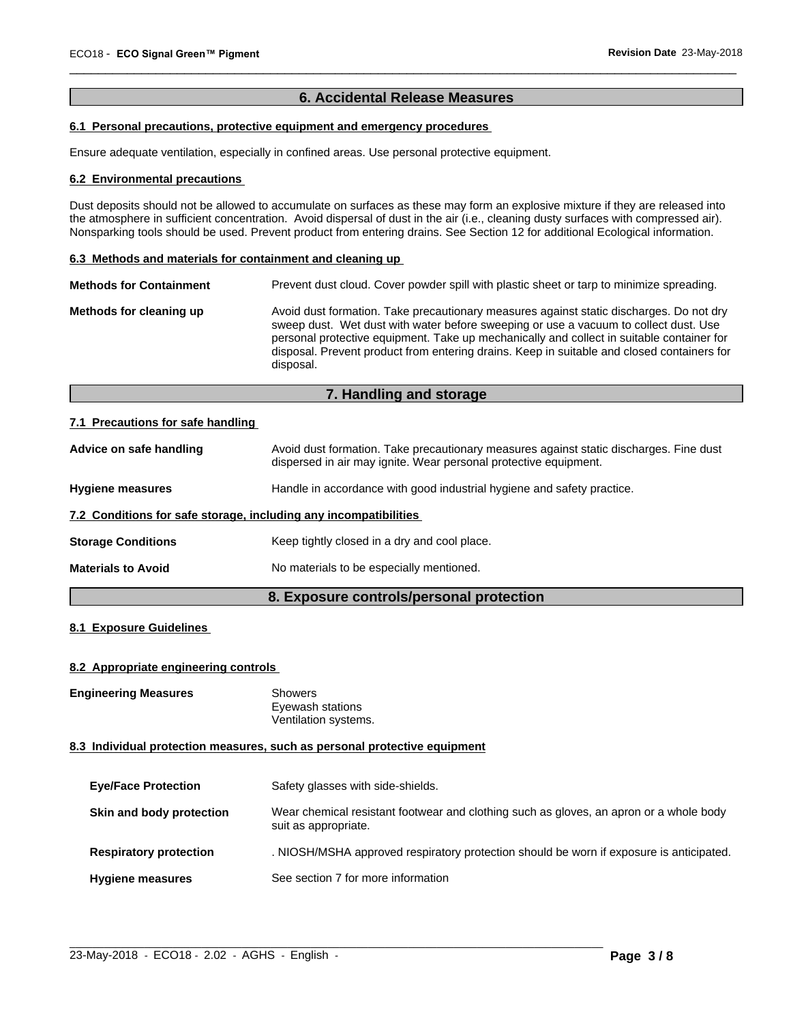# **6. Accidental Release Measures**

 $\overline{\phantom{a}}$  ,  $\overline{\phantom{a}}$  ,  $\overline{\phantom{a}}$  ,  $\overline{\phantom{a}}$  ,  $\overline{\phantom{a}}$  ,  $\overline{\phantom{a}}$  ,  $\overline{\phantom{a}}$  ,  $\overline{\phantom{a}}$  ,  $\overline{\phantom{a}}$  ,  $\overline{\phantom{a}}$  ,  $\overline{\phantom{a}}$  ,  $\overline{\phantom{a}}$  ,  $\overline{\phantom{a}}$  ,  $\overline{\phantom{a}}$  ,  $\overline{\phantom{a}}$  ,  $\overline{\phantom{a}}$ 

# **6.1 Personal precautions, protective equipment and emergency procedures**

Ensure adequate ventilation, especially in confined areas. Use personal protective equipment.

#### **6.2 Environmental precautions**

Dust deposits should not be allowed to accumulate on surfaces as these may form an explosive mixture if they are released into the atmosphere in sufficient concentration. Avoid dispersal of dust in the air (i.e., cleaning dusty surfaces with compressed air). Nonsparking tools should be used. Prevent product from entering drains. See Section 12 for additional Ecological information.

#### **6.3 Methods and materials for containment and cleaning up**

| Avoid dust formation. Take precautionary measures against static discharges. Do not dry<br>Methods for cleaning up                                                                                                                                                                           |
|----------------------------------------------------------------------------------------------------------------------------------------------------------------------------------------------------------------------------------------------------------------------------------------------|
| sweep dust. Wet dust with water before sweeping or use a vacuum to collect dust. Use<br>personal protective equipment. Take up mechanically and collect in suitable container for<br>disposal. Prevent product from entering drains. Keep in suitable and closed containers for<br>disposal. |

# **7. Handling and storage**

#### **7.1 Precautions for safe handling**

| Advice on safe handling                                          | Avoid dust formation. Take precautionary measures against static discharges. Fine dust<br>dispersed in air may ignite. Wear personal protective equipment. |
|------------------------------------------------------------------|------------------------------------------------------------------------------------------------------------------------------------------------------------|
| <b>Hygiene measures</b>                                          | Handle in accordance with good industrial hygiene and safety practice.                                                                                     |
| 7.2 Conditions for safe storage, including any incompatibilities |                                                                                                                                                            |
| <b>Storage Conditions</b>                                        | Keep tightly closed in a dry and cool place.                                                                                                               |
| <b>Materials to Avoid</b>                                        | No materials to be especially mentioned.                                                                                                                   |
|                                                                  |                                                                                                                                                            |

# **8. Exposure controls/personal protection**

#### **8.1 Exposure Guidelines**

#### **8.2 Appropriate engineering controls**

**Engineering Measures** Showers

Eyewash stations Ventilation systems.

#### **8.3 Individual protection measures, such as personal protective equipment**

| <b>Eye/Face Protection</b>    | Safety glasses with side-shields.                                                                              |
|-------------------------------|----------------------------------------------------------------------------------------------------------------|
| Skin and body protection      | Wear chemical resistant footwear and clothing such as gloves, an apron or a whole body<br>suit as appropriate. |
| <b>Respiratory protection</b> | . NIOSH/MSHA approved respiratory protection should be worn if exposure is anticipated.                        |
| <b>Hygiene measures</b>       | See section 7 for more information                                                                             |

 $\_$  ,  $\_$  ,  $\_$  ,  $\_$  ,  $\_$  ,  $\_$  ,  $\_$  ,  $\_$  ,  $\_$  ,  $\_$  ,  $\_$  ,  $\_$  ,  $\_$  ,  $\_$  ,  $\_$  ,  $\_$  ,  $\_$  ,  $\_$  ,  $\_$  ,  $\_$  ,  $\_$  ,  $\_$  ,  $\_$  ,  $\_$  ,  $\_$  ,  $\_$  ,  $\_$  ,  $\_$  ,  $\_$  ,  $\_$  ,  $\_$  ,  $\_$  ,  $\_$  ,  $\_$  ,  $\_$  ,  $\_$  ,  $\_$  ,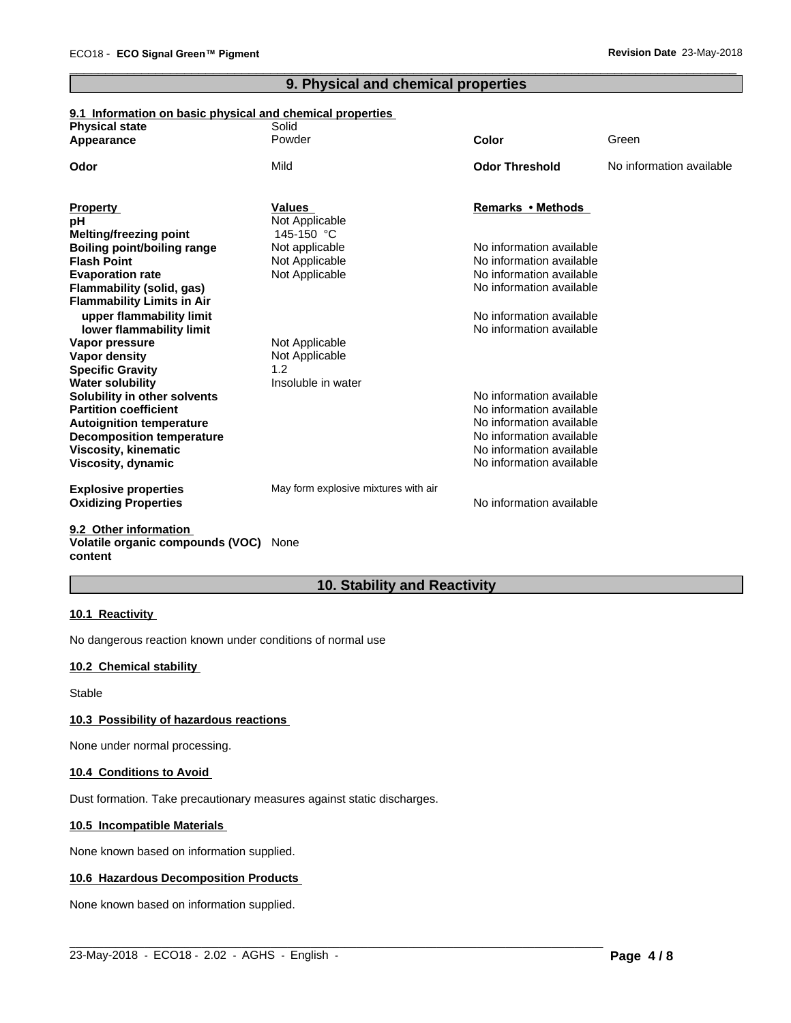# **9. Physical and chemical properties**

 $\overline{\phantom{a}}$  ,  $\overline{\phantom{a}}$  ,  $\overline{\phantom{a}}$  ,  $\overline{\phantom{a}}$  ,  $\overline{\phantom{a}}$  ,  $\overline{\phantom{a}}$  ,  $\overline{\phantom{a}}$  ,  $\overline{\phantom{a}}$  ,  $\overline{\phantom{a}}$  ,  $\overline{\phantom{a}}$  ,  $\overline{\phantom{a}}$  ,  $\overline{\phantom{a}}$  ,  $\overline{\phantom{a}}$  ,  $\overline{\phantom{a}}$  ,  $\overline{\phantom{a}}$  ,  $\overline{\phantom{a}}$ 

### **9.1 Information on basic physical and chemical properties**

| <b>Physical state</b>              | Solid<br>Powder                      | Color                                                | Green                    |
|------------------------------------|--------------------------------------|------------------------------------------------------|--------------------------|
| Appearance                         |                                      |                                                      |                          |
| Odor                               | Mild                                 | <b>Odor Threshold</b>                                | No information available |
| <b>Property</b>                    | <b>Values</b>                        | Remarks • Methods                                    |                          |
| рH                                 | Not Applicable                       |                                                      |                          |
| Melting/freezing point             | 145-150 °C                           |                                                      |                          |
| <b>Boiling point/boiling range</b> | Not applicable                       | No information available                             |                          |
| <b>Flash Point</b>                 | Not Applicable                       | No information available                             |                          |
| <b>Evaporation rate</b>            | Not Applicable                       | No information available                             |                          |
| <b>Flammability (solid, gas)</b>   |                                      | No information available                             |                          |
| <b>Flammability Limits in Air</b>  |                                      |                                                      |                          |
| upper flammability limit           |                                      | No information available                             |                          |
| lower flammability limit           |                                      | No information available                             |                          |
| Vapor pressure                     | Not Applicable                       |                                                      |                          |
| Vapor density                      | Not Applicable                       |                                                      |                          |
| <b>Specific Gravity</b>            | 1.2                                  |                                                      |                          |
| <b>Water solubility</b>            | Insoluble in water                   |                                                      |                          |
| Solubility in other solvents       |                                      | No information available                             |                          |
| <b>Partition coefficient</b>       |                                      | No information available                             |                          |
| <b>Autoignition temperature</b>    |                                      | No information available                             |                          |
| <b>Decomposition temperature</b>   |                                      | No information available<br>No information available |                          |
| Viscosity, kinematic               |                                      | No information available                             |                          |
| Viscosity, dynamic                 |                                      |                                                      |                          |
| <b>Explosive properties</b>        | May form explosive mixtures with air |                                                      |                          |
| <b>Oxidizing Properties</b>        |                                      | No information available                             |                          |
|                                    |                                      |                                                      |                          |

#### **9.2 Other information Volatile organic compounds (VOC)** None **content**

# **10. Stability and Reactivity**

#### **10.1 Reactivity**

No dangerous reaction known under conditions of normal use

# **10.2 Chemical stability**

Stable

#### **10.3 Possibility of hazardous reactions**

None under normal processing.

#### **10.4 Conditions to Avoid**

Dust formation. Take precautionary measures against static discharges.

#### **10.5 Incompatible Materials**

None known based on information supplied.

#### **10.6 Hazardous Decomposition Products**

None known based on information supplied.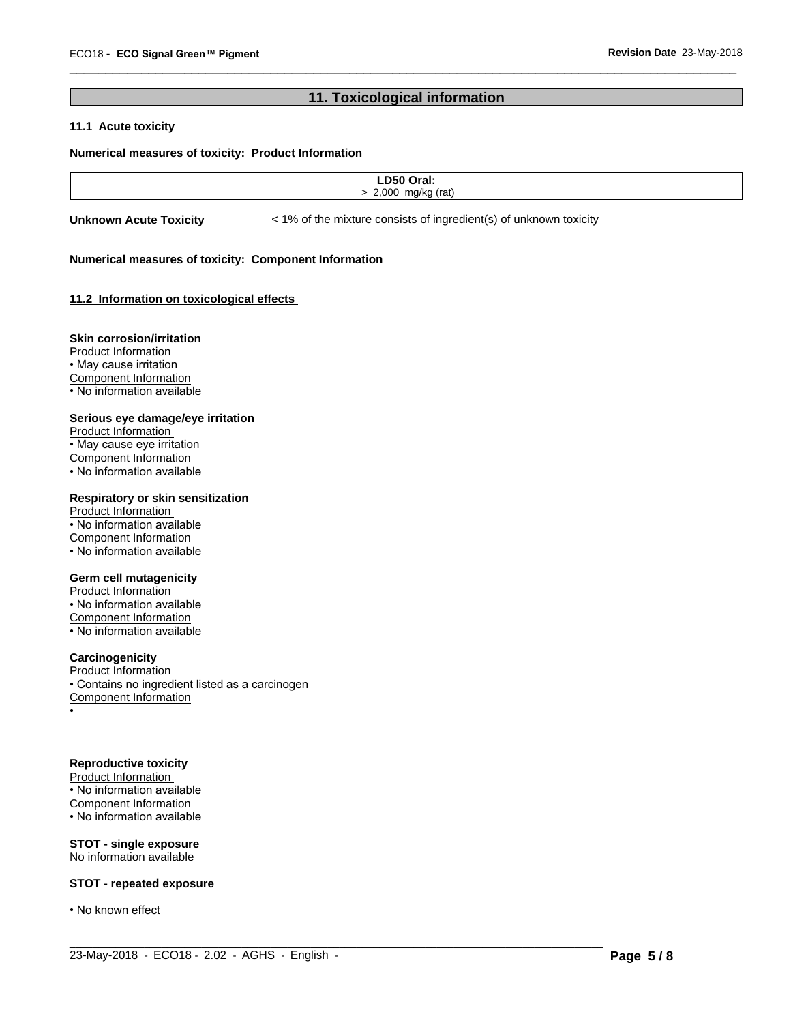# **11. Toxicological information**

 $\overline{\phantom{a}}$  ,  $\overline{\phantom{a}}$  ,  $\overline{\phantom{a}}$  ,  $\overline{\phantom{a}}$  ,  $\overline{\phantom{a}}$  ,  $\overline{\phantom{a}}$  ,  $\overline{\phantom{a}}$  ,  $\overline{\phantom{a}}$  ,  $\overline{\phantom{a}}$  ,  $\overline{\phantom{a}}$  ,  $\overline{\phantom{a}}$  ,  $\overline{\phantom{a}}$  ,  $\overline{\phantom{a}}$  ,  $\overline{\phantom{a}}$  ,  $\overline{\phantom{a}}$  ,  $\overline{\phantom{a}}$ 

## **11.1 Acute toxicity**

#### **Numerical measures of toxicity: Product Information**

| $C^{\bullet}$<br>-- |  |
|---------------------|--|
| 2.000<br>mnl        |  |
|                     |  |

 $\_$  ,  $\_$  ,  $\_$  ,  $\_$  ,  $\_$  ,  $\_$  ,  $\_$  ,  $\_$  ,  $\_$  ,  $\_$  ,  $\_$  ,  $\_$  ,  $\_$  ,  $\_$  ,  $\_$  ,  $\_$  ,  $\_$  ,  $\_$  ,  $\_$  ,  $\_$  ,  $\_$  ,  $\_$  ,  $\_$  ,  $\_$  ,  $\_$  ,  $\_$  ,  $\_$  ,  $\_$  ,  $\_$  ,  $\_$  ,  $\_$  ,  $\_$  ,  $\_$  ,  $\_$  ,  $\_$  ,  $\_$  ,  $\_$  ,

**Unknown Acute Toxicity**  $\lt$  1% of the mixture consists of ingredient(s) of unknown toxicity

#### **Numerical measures of toxicity: Component Information**

#### **11.2 Information on toxicologicaleffects**

#### **Skin corrosion/irritation**

Product Information • May cause irritation Component Information • No information available

#### **Serious eye damage/eye irritation**

Product Information • May cause eye irritation Component Information • No information available

## **Respiratory or skin sensitization**

Product Information • No information available Component Information • No information available

#### **Germ cell mutagenicity**

Product Information • No information available Component Information • No information available

#### **Carcinogenicity**

Product Information • Contains no ingredient listed as a carcinogen Component Information •

#### **Reproductive toxicity**

Product Information • No information available Component Information • No information available

**STOT - single exposure** No information available

#### **STOT - repeated exposure**

• No known effect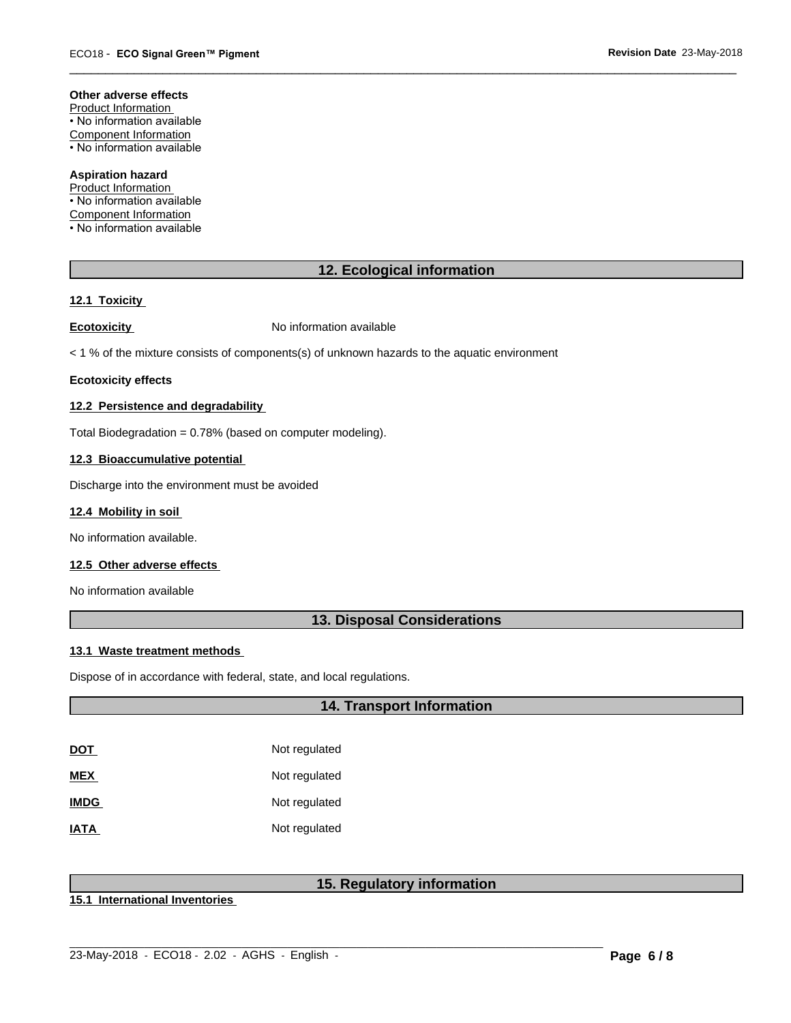#### **Other adverse effects**

Product Information • No information available Component Information • No information available

**Aspiration hazard** Product Information

• No information available Component Information • No information available

# **12. Ecological information**

 $\overline{\phantom{a}}$  ,  $\overline{\phantom{a}}$  ,  $\overline{\phantom{a}}$  ,  $\overline{\phantom{a}}$  ,  $\overline{\phantom{a}}$  ,  $\overline{\phantom{a}}$  ,  $\overline{\phantom{a}}$  ,  $\overline{\phantom{a}}$  ,  $\overline{\phantom{a}}$  ,  $\overline{\phantom{a}}$  ,  $\overline{\phantom{a}}$  ,  $\overline{\phantom{a}}$  ,  $\overline{\phantom{a}}$  ,  $\overline{\phantom{a}}$  ,  $\overline{\phantom{a}}$  ,  $\overline{\phantom{a}}$ 

#### **12.1 Toxicity**

**Ecotoxicity No information available** 

 $<$  1 % of the mixture consists of components(s) of unknown hazards to the aquatic environment

#### **Ecotoxicity effects**

#### **12.2 Persistence and degradability**

Total Biodegradation = 0.78% (based on computer modeling).

#### **12.3 Bioaccumulative potential**

Discharge into the environment must be avoided

#### **12.4 Mobility in soil**

No information available.

#### **12.5 Other adverse effects**

No information available

# **13. Disposal Considerations**

#### **13.1 Waste treatment methods**

Dispose of in accordance with federal, state, and local regulations.

# **14. Transport Information**

| DOT         | Not regulated |
|-------------|---------------|
| MEX         | Not regulated |
| <b>IMDG</b> | Not regulated |
| IATA        | Not regulated |

# **15. Regulatory information**

 $\_$  ,  $\_$  ,  $\_$  ,  $\_$  ,  $\_$  ,  $\_$  ,  $\_$  ,  $\_$  ,  $\_$  ,  $\_$  ,  $\_$  ,  $\_$  ,  $\_$  ,  $\_$  ,  $\_$  ,  $\_$  ,  $\_$  ,  $\_$  ,  $\_$  ,  $\_$  ,  $\_$  ,  $\_$  ,  $\_$  ,  $\_$  ,  $\_$  ,  $\_$  ,  $\_$  ,  $\_$  ,  $\_$  ,  $\_$  ,  $\_$  ,  $\_$  ,  $\_$  ,  $\_$  ,  $\_$  ,  $\_$  ,  $\_$  ,

**15.1 International Inventories**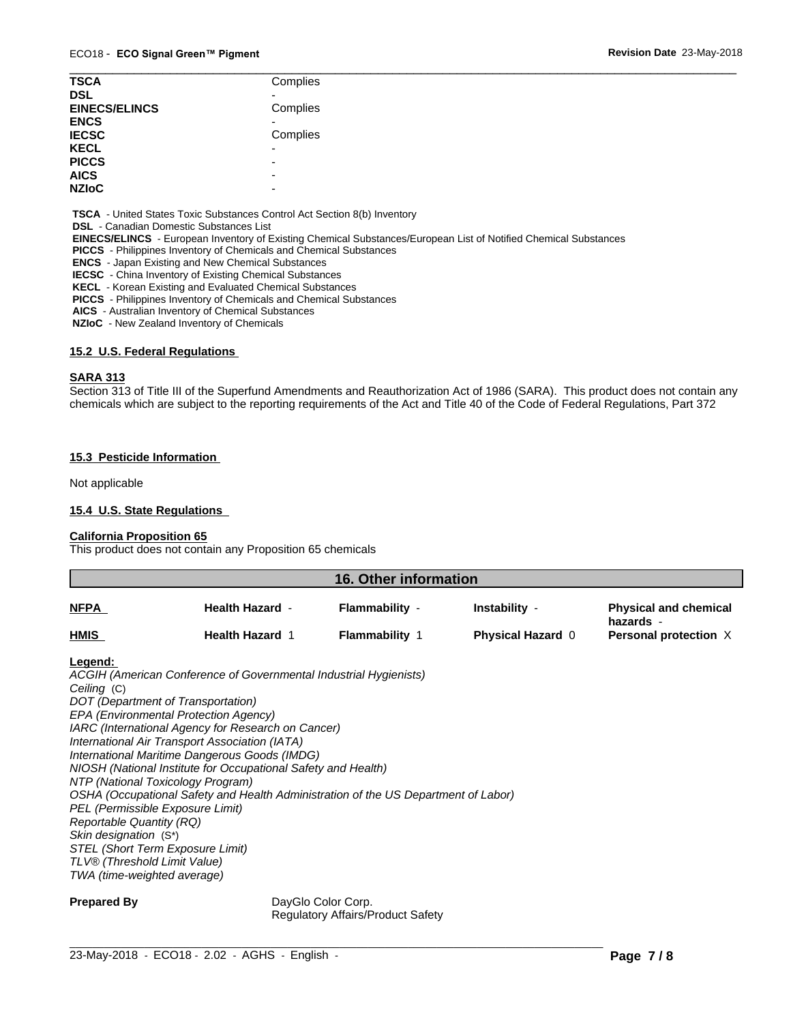| <b>TSCA</b>          | Complies                 |
|----------------------|--------------------------|
| <b>DSL</b>           |                          |
| <b>EINECS/ELINCS</b> | Complies                 |
| <b>ENCS</b>          |                          |
| <b>IECSC</b>         | Complies                 |
| <b>KECL</b>          | -                        |
| <b>PICCS</b>         | $\overline{\phantom{a}}$ |
| <b>AICS</b>          | $\overline{\phantom{a}}$ |
| <b>NZIoC</b>         | $\overline{\phantom{0}}$ |

 **TSCA** - United States Toxic Substances Control Act Section 8(b) Inventory

 **DSL** - Canadian Domestic Substances List

 **EINECS/ELINCS** - European Inventory of Existing Chemical Substances/European List of Notified Chemical Substances

 **PICCS** - Philippines Inventory of Chemicals and Chemical Substances

 **ENCS** - Japan Existing and New Chemical Substances

 **IECSC** - China Inventory of Existing Chemical Substances

 **KECL** - Korean Existing and Evaluated Chemical Substances

 **PICCS** - Philippines Inventory of Chemicals and Chemical Substances

 **AICS** - Australian Inventory of Chemical Substances

 **NZIoC** - New Zealand Inventory of Chemicals

### **15.2 U.S. Federal Regulations**

#### **SARA 313**

Section 313 of Title III of the Superfund Amendments and Reauthorization Act of 1986 (SARA). This product does not contain any chemicals which are subject to the reporting requirements of the Act and Title 40 of the Code of Federal Regulations, Part 372

#### **15.3 Pesticide Information**

Not applicable

#### **15.4 U.S. State Regulations**

#### **California Proposition 65**

This product does not contain any Proposition 65 chemicals

| 16. Other information |                        |                |                          |                                           |
|-----------------------|------------------------|----------------|--------------------------|-------------------------------------------|
| <b>NFPA</b>           | <b>Health Hazard -</b> | Flammability - | Instability -            | <b>Physical and chemical</b><br>hazards - |
| <b>HMIS</b>           | <b>Health Hazard 1</b> | Flammability   | <b>Physical Hazard 0</b> | Personal protection X                     |
| the company of the    |                        |                |                          |                                           |

#### **Legend:**

*ACGIH (American Conference of Governmental Industrial Hygienists) Ceiling* (C) *DOT (Department of Transportation) EPA (Environmental Protection Agency) IARC (International Agency for Research on Cancer) International Air Transport Association (IATA) International Maritime Dangerous Goods (IMDG) NIOSH (National Institute for Occupational Safety and Health) NTP (National Toxicology Program) OSHA (Occupational Safety and Health Administration of the US Department of Labor) PEL (Permissible Exposure Limit) Reportable Quantity (RQ) Skin designation* (S\*) *STEL (Short Term Exposure Limit) TLV® (Threshold Limit Value) TWA (time-weighted average)*

**Prepared By** DayGlo Color Corp. Regulatory Affairs/Product Safety